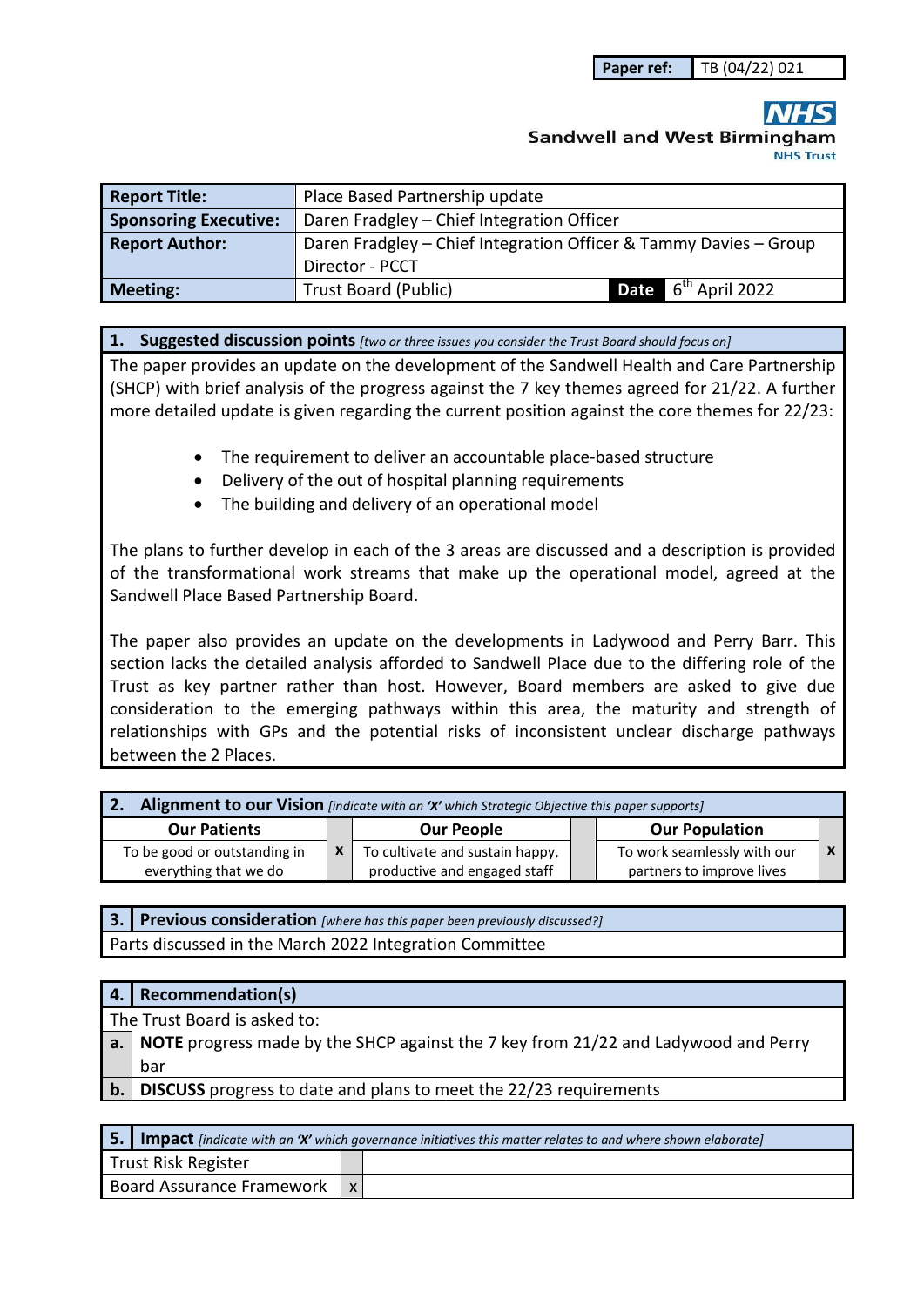**Paper ref:** TB (04/22) 021

# **Sandwell and West Birmingham NHS Trust**

| <b>Report Title:</b>         | Place Based Partnership update                                    |                                 |  |
|------------------------------|-------------------------------------------------------------------|---------------------------------|--|
| <b>Sponsoring Executive:</b> | Daren Fradgley - Chief Integration Officer                        |                                 |  |
| <b>Report Author:</b>        | Daren Fradgley - Chief Integration Officer & Tammy Davies - Group |                                 |  |
|                              | Director - PCCT                                                   |                                 |  |
| <b>Meeting:</b>              | Trust Board (Public)                                              | <b>Date</b> $6^{th}$ April 2022 |  |

**1. Suggested discussion points** *[two or three issues you consider the Trust Board should focus on]* 

The paper provides an update on the development of the Sandwell Health and Care Partnership (SHCP) with brief analysis of the progress against the 7 key themes agreed for 21/22. A further more detailed update is given regarding the current position against the core themes for 22/23:

- The requirement to deliver an accountable place-based structure
- Delivery of the out of hospital planning requirements
- The building and delivery of an operational model

The plans to further develop in each of the 3 areas are discussed and a description is provided of the transformational work streams that make up the operational model, agreed at the Sandwell Place Based Partnership Board.

The paper also provides an update on the developments in Ladywood and Perry Barr. This section lacks the detailed analysis afforded to Sandwell Place due to the differing role of the Trust as key partner rather than host. However, Board members are asked to give due consideration to the emerging pathways within this area, the maturity and strength of relationships with GPs and the potential risks of inconsistent unclear discharge pathways between the 2 Places.

| 2. Alignment to our Vision [indicate with an 'X' which Strategic Objective this paper supports] |  |                                                                 |  |                                                          |  |  |
|-------------------------------------------------------------------------------------------------|--|-----------------------------------------------------------------|--|----------------------------------------------------------|--|--|
| <b>Our Patients</b>                                                                             |  | <b>Our People</b>                                               |  | <b>Our Population</b>                                    |  |  |
| To be good or outstanding in<br>everything that we do                                           |  | To cultivate and sustain happy,<br>productive and engaged staff |  | To work seamlessly with our<br>partners to improve lives |  |  |

**3. Previous consideration** *[where has this paper been previously discussed?]* Parts discussed in the March 2022 Integration Committee

| 4. | <b>Recommendation(s)</b>                                                              |
|----|---------------------------------------------------------------------------------------|
|    | The Trust Board is asked to:                                                          |
|    | a. NOTE progress made by the SHCP against the 7 key from 21/22 and Ladywood and Perry |
|    | bar                                                                                   |
| b. | <b>DISCUSS</b> progress to date and plans to meet the 22/23 requirements              |

|                           | <b>5.</b> Impact [indicate with an 'X' which governance initiatives this matter relates to and where shown elaborate] |  |  |  |  |  |
|---------------------------|-----------------------------------------------------------------------------------------------------------------------|--|--|--|--|--|
| Trust Risk Register       |                                                                                                                       |  |  |  |  |  |
| Board Assurance Framework |                                                                                                                       |  |  |  |  |  |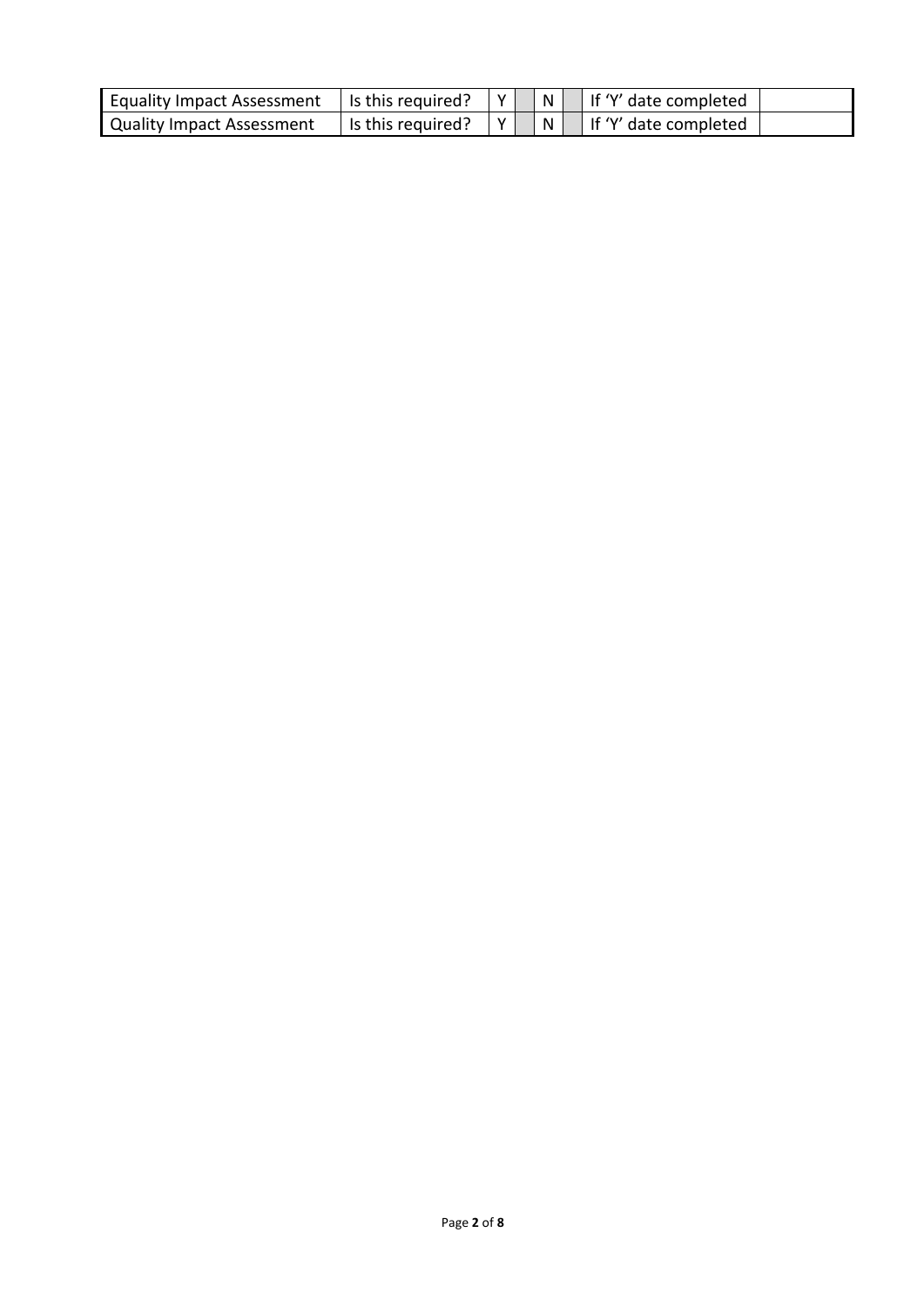| Equality Impact Assessment   Is this required? |                   | Y |  | $ N $ if 'Y' date completed           |  |
|------------------------------------------------|-------------------|---|--|---------------------------------------|--|
| Quality Impact Assessment                      | Is this required? | Y |  | $\Box$ N $\Box$ If 'Y' date completed |  |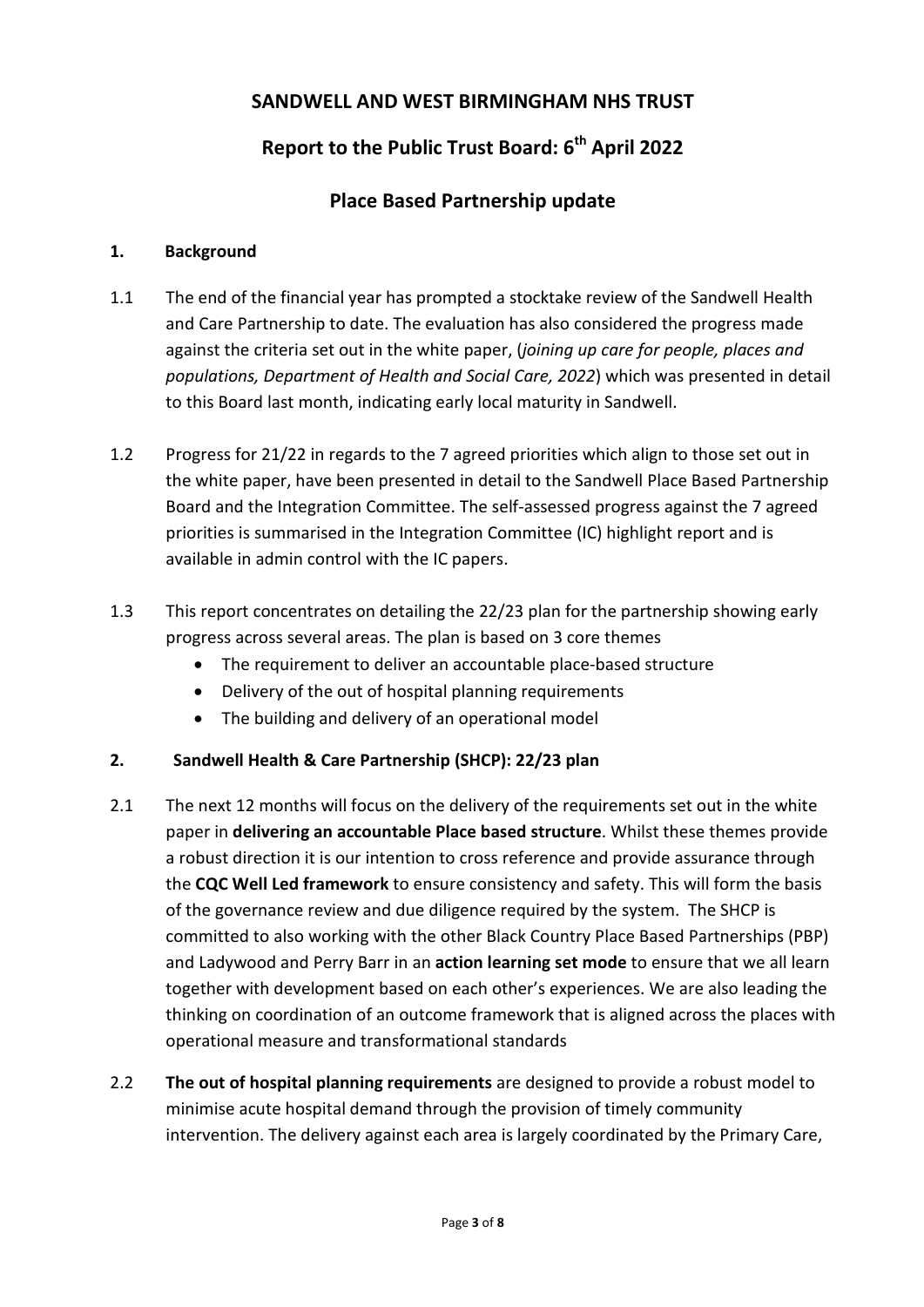## **SANDWELL AND WEST BIRMINGHAM NHS TRUST**

## **Report to the Public Trust Board: 6th April 2022**

### **Place Based Partnership update**

#### **1. Background**

- 1.1 The end of the financial year has prompted a stocktake review of the Sandwell Health and Care Partnership to date. The evaluation has also considered the progress made against the criteria set out in the white paper, (*joining up care for people, places and populations, Department of Health and Social Care, 2022*) which was presented in detail to this Board last month, indicating early local maturity in Sandwell.
- 1.2 Progress for 21/22 in regards to the 7 agreed priorities which align to those set out in the white paper, have been presented in detail to the Sandwell Place Based Partnership Board and the Integration Committee. The self-assessed progress against the 7 agreed priorities is summarised in the Integration Committee (IC) highlight report and is available in admin control with the IC papers.
- 1.3 This report concentrates on detailing the 22/23 plan for the partnership showing early progress across several areas. The plan is based on 3 core themes
	- The requirement to deliver an accountable place-based structure
	- Delivery of the out of hospital planning requirements
	- The building and delivery of an operational model

### **2. Sandwell Health & Care Partnership (SHCP): 22/23 plan**

- 2.1 The next 12 months will focus on the delivery of the requirements set out in the white paper in **delivering an accountable Place based structure**. Whilst these themes provide a robust direction it is our intention to cross reference and provide assurance through the **CQC Well Led framework** to ensure consistency and safety. This will form the basis of the governance review and due diligence required by the system. The SHCP is committed to also working with the other Black Country Place Based Partnerships (PBP) and Ladywood and Perry Barr in an **action learning set mode** to ensure that we all learn together with development based on each other's experiences. We are also leading the thinking on coordination of an outcome framework that is aligned across the places with operational measure and transformational standards
- 2.2 **The out of hospital planning requirements** are designed to provide a robust model to minimise acute hospital demand through the provision of timely community intervention. The delivery against each area is largely coordinated by the Primary Care,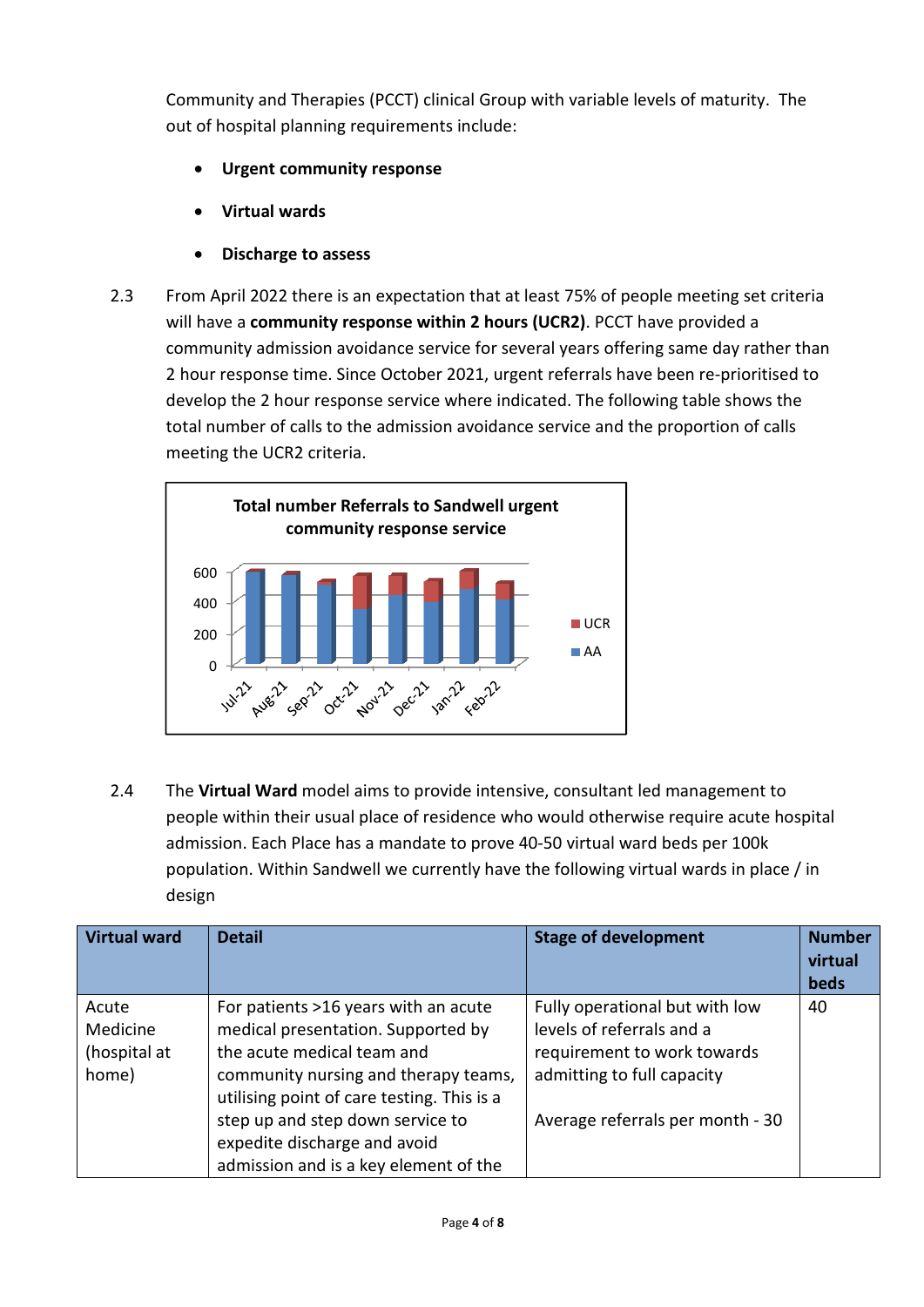Community and Therapies (PCCT) clinical Group with variable levels of maturity. The out of hospital planning requirements include:

- **Urgent community response**
- **Virtual wards**
- **Discharge to assess**
- 2.3 From April 2022 there is an expectation that at least 75% of people meeting set criteria will have a **community response within 2 hours (UCR2)**. PCCT have provided a community admission avoidance service for several years offering same day rather than 2 hour response time. Since October 2021, urgent referrals have been re-prioritised to develop the 2 hour response service where indicated. The following table shows the total number of calls to the admission avoidance service and the proportion of calls meeting the UCR2 criteria.



2.4 The **Virtual Ward** model aims to provide intensive, consultant led management to people within their usual place of residence who would otherwise require acute hospital admission. Each Place has a mandate to prove 40-50 virtual ward beds per 100k population. Within Sandwell we currently have the following virtual wards in place / in design

| <b>Virtual ward</b> | <b>Detail</b>                              | <b>Stage of development</b>      | <b>Number</b><br>virtual<br>beds |
|---------------------|--------------------------------------------|----------------------------------|----------------------------------|
| Acute               | For patients >16 years with an acute       | Fully operational but with low   | 40                               |
| Medicine            | medical presentation. Supported by         | levels of referrals and a        |                                  |
| (hospital at        | the acute medical team and                 | requirement to work towards      |                                  |
| home)               | community nursing and therapy teams,       | admitting to full capacity       |                                  |
|                     | utilising point of care testing. This is a |                                  |                                  |
|                     | step up and step down service to           | Average referrals per month - 30 |                                  |
|                     | expedite discharge and avoid               |                                  |                                  |
|                     | admission and is a key element of the      |                                  |                                  |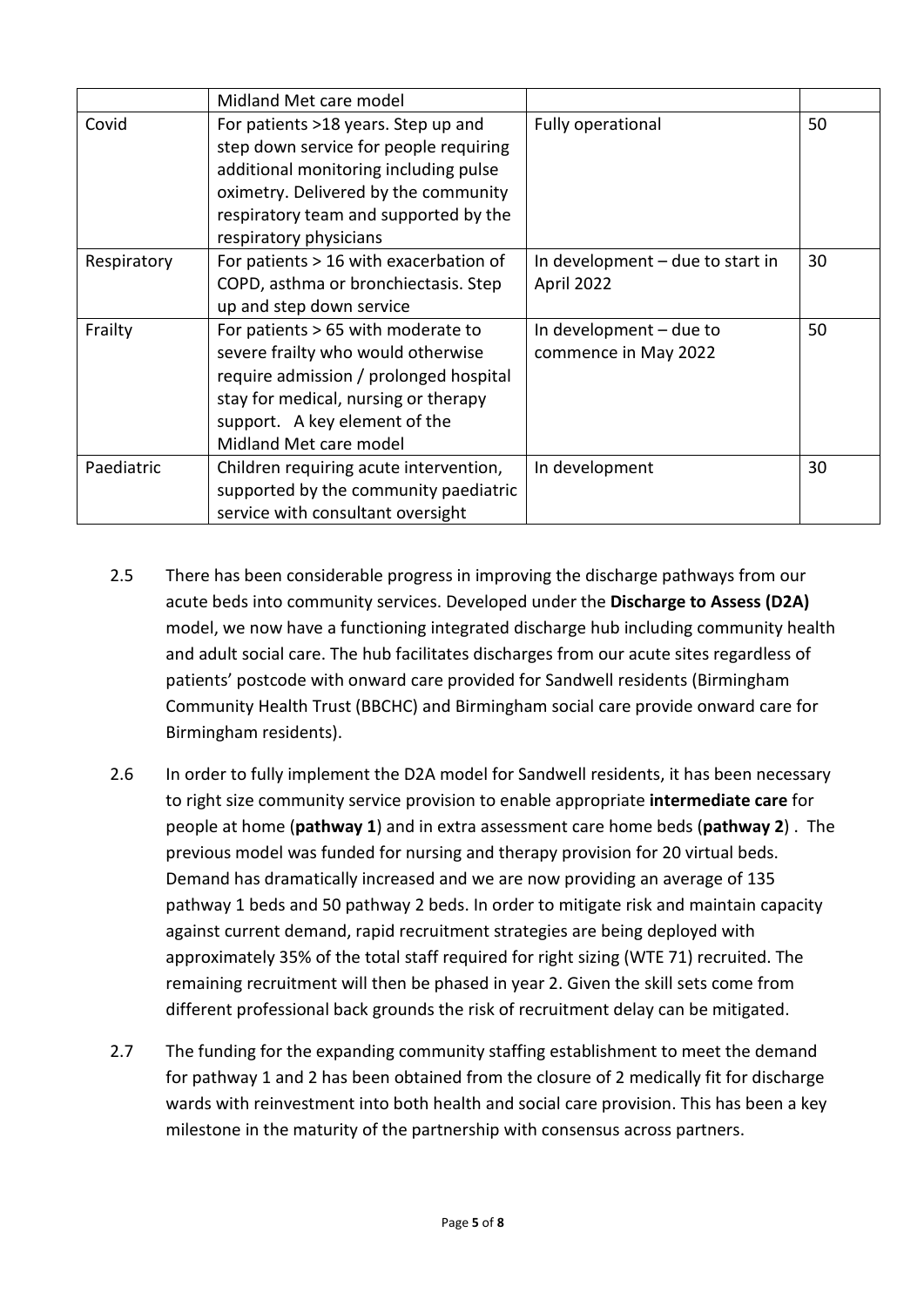|             | Midland Met care model                                                                                                                                                                                                            |                                                   |    |
|-------------|-----------------------------------------------------------------------------------------------------------------------------------------------------------------------------------------------------------------------------------|---------------------------------------------------|----|
| Covid       | For patients >18 years. Step up and<br>step down service for people requiring<br>additional monitoring including pulse<br>oximetry. Delivered by the community<br>respiratory team and supported by the<br>respiratory physicians | Fully operational                                 | 50 |
| Respiratory | For patients > 16 with exacerbation of<br>COPD, asthma or bronchiectasis. Step<br>up and step down service                                                                                                                        | In development $-$ due to start in<br>April 2022  | 30 |
| Frailty     | For patients > 65 with moderate to<br>severe frailty who would otherwise<br>require admission / prolonged hospital<br>stay for medical, nursing or therapy<br>support. A key element of the<br>Midland Met care model             | In development $-$ due to<br>commence in May 2022 | 50 |
| Paediatric  | Children requiring acute intervention,<br>supported by the community paediatric<br>service with consultant oversight                                                                                                              | In development                                    | 30 |

- 2.5 There has been considerable progress in improving the discharge pathways from our acute beds into community services. Developed under the **Discharge to Assess (D2A)**  model, we now have a functioning integrated discharge hub including community health and adult social care. The hub facilitates discharges from our acute sites regardless of patients' postcode with onward care provided for Sandwell residents (Birmingham Community Health Trust (BBCHC) and Birmingham social care provide onward care for Birmingham residents).
- 2.6 In order to fully implement the D2A model for Sandwell residents, it has been necessary to right size community service provision to enable appropriate **intermediate care** for people at home (**pathway 1**) and in extra assessment care home beds (**pathway 2**) . The previous model was funded for nursing and therapy provision for 20 virtual beds. Demand has dramatically increased and we are now providing an average of 135 pathway 1 beds and 50 pathway 2 beds. In order to mitigate risk and maintain capacity against current demand, rapid recruitment strategies are being deployed with approximately 35% of the total staff required for right sizing (WTE 71) recruited. The remaining recruitment will then be phased in year 2. Given the skill sets come from different professional back grounds the risk of recruitment delay can be mitigated.
- 2.7 The funding for the expanding community staffing establishment to meet the demand for pathway 1 and 2 has been obtained from the closure of 2 medically fit for discharge wards with reinvestment into both health and social care provision. This has been a key milestone in the maturity of the partnership with consensus across partners.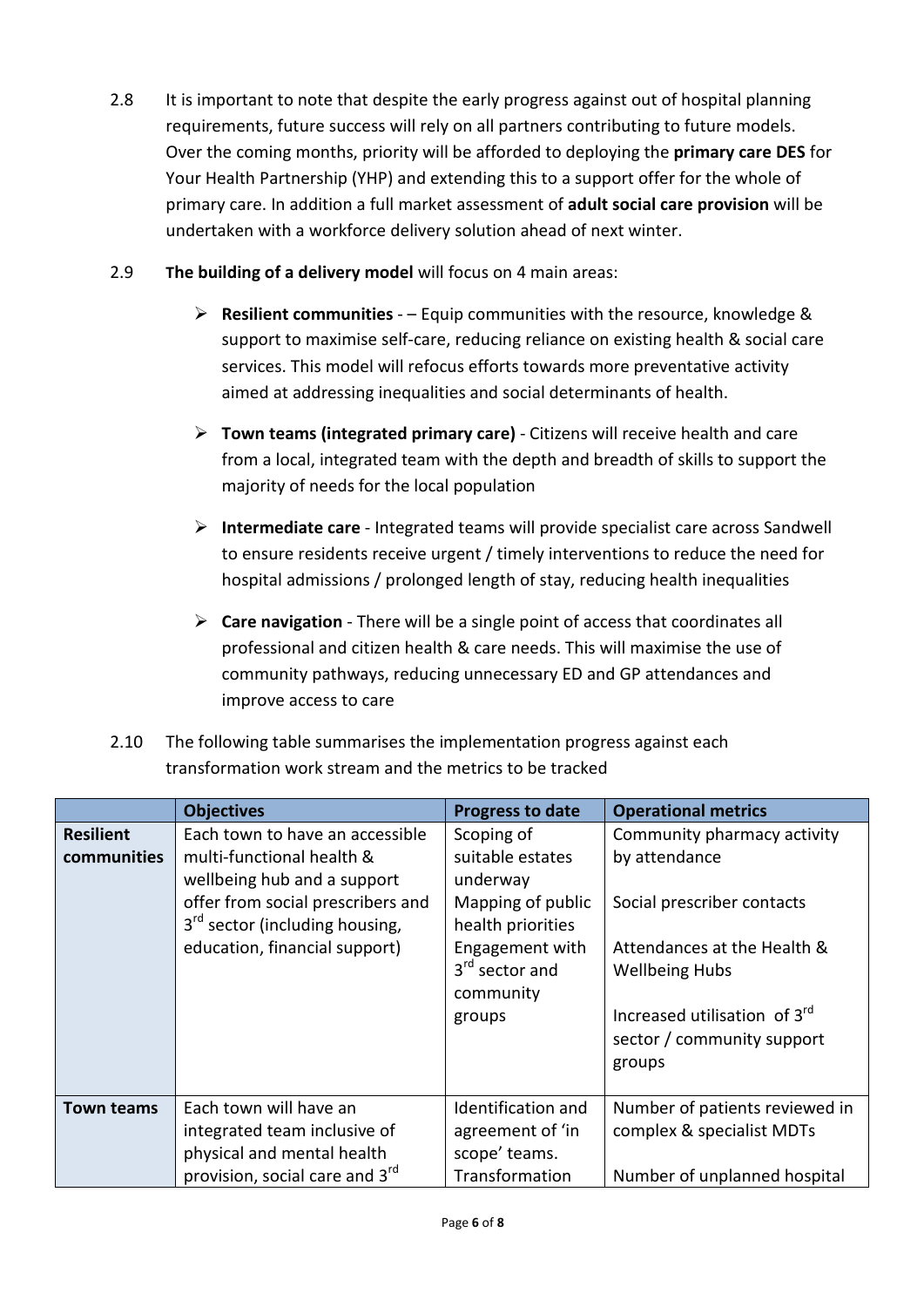- 2.8 It is important to note that despite the early progress against out of hospital planning requirements, future success will rely on all partners contributing to future models. Over the coming months, priority will be afforded to deploying the **primary care DES** for Your Health Partnership (YHP) and extending this to a support offer for the whole of primary care. In addition a full market assessment of **adult social care provision** will be undertaken with a workforce delivery solution ahead of next winter.
- 2.9 **The building of a delivery model** will focus on 4 main areas:
	- **Resilient communities** – Equip communities with the resource, knowledge & support to maximise self-care, reducing reliance on existing health & social care services. This model will refocus efforts towards more preventative activity aimed at addressing inequalities and social determinants of health.
	- **Town teams (integrated primary care)** Citizens will receive health and care from a local, integrated team with the depth and breadth of skills to support the majority of needs for the local population
	- **Intermediate care** Integrated teams will provide specialist care across Sandwell to ensure residents receive urgent / timely interventions to reduce the need for hospital admissions / prolonged length of stay, reducing health inequalities
	- **Care navigation** There will be a single point of access that coordinates all professional and citizen health & care needs. This will maximise the use of community pathways, reducing unnecessary ED and GP attendances and improve access to care
- 2.10 The following table summarises the implementation progress against each transformation work stream and the metrics to be tracked

|                                 | <b>Objectives</b>                                                                                                                                                                                               | <b>Progress to date</b>                                                                                                                                      | <b>Operational metrics</b>                                                                                                                                                                       |
|---------------------------------|-----------------------------------------------------------------------------------------------------------------------------------------------------------------------------------------------------------------|--------------------------------------------------------------------------------------------------------------------------------------------------------------|--------------------------------------------------------------------------------------------------------------------------------------------------------------------------------------------------|
| <b>Resilient</b><br>communities | Each town to have an accessible<br>multi-functional health &<br>wellbeing hub and a support<br>offer from social prescribers and<br>3 <sup>rd</sup> sector (including housing,<br>education, financial support) | Scoping of<br>suitable estates<br>underway<br>Mapping of public<br>health priorities<br>Engagement with<br>3 <sup>rd</sup> sector and<br>community<br>groups | Community pharmacy activity<br>by attendance<br>Social prescriber contacts<br>Attendances at the Health &<br><b>Wellbeing Hubs</b><br>Increased utilisation of 3rd<br>sector / community support |
|                                 |                                                                                                                                                                                                                 |                                                                                                                                                              | groups                                                                                                                                                                                           |
| <b>Town teams</b>               | Each town will have an<br>integrated team inclusive of<br>physical and mental health                                                                                                                            | Identification and<br>agreement of 'in<br>scope' teams.                                                                                                      | Number of patients reviewed in<br>complex & specialist MDTs                                                                                                                                      |
|                                 | provision, social care and 3rd                                                                                                                                                                                  | Transformation                                                                                                                                               | Number of unplanned hospital                                                                                                                                                                     |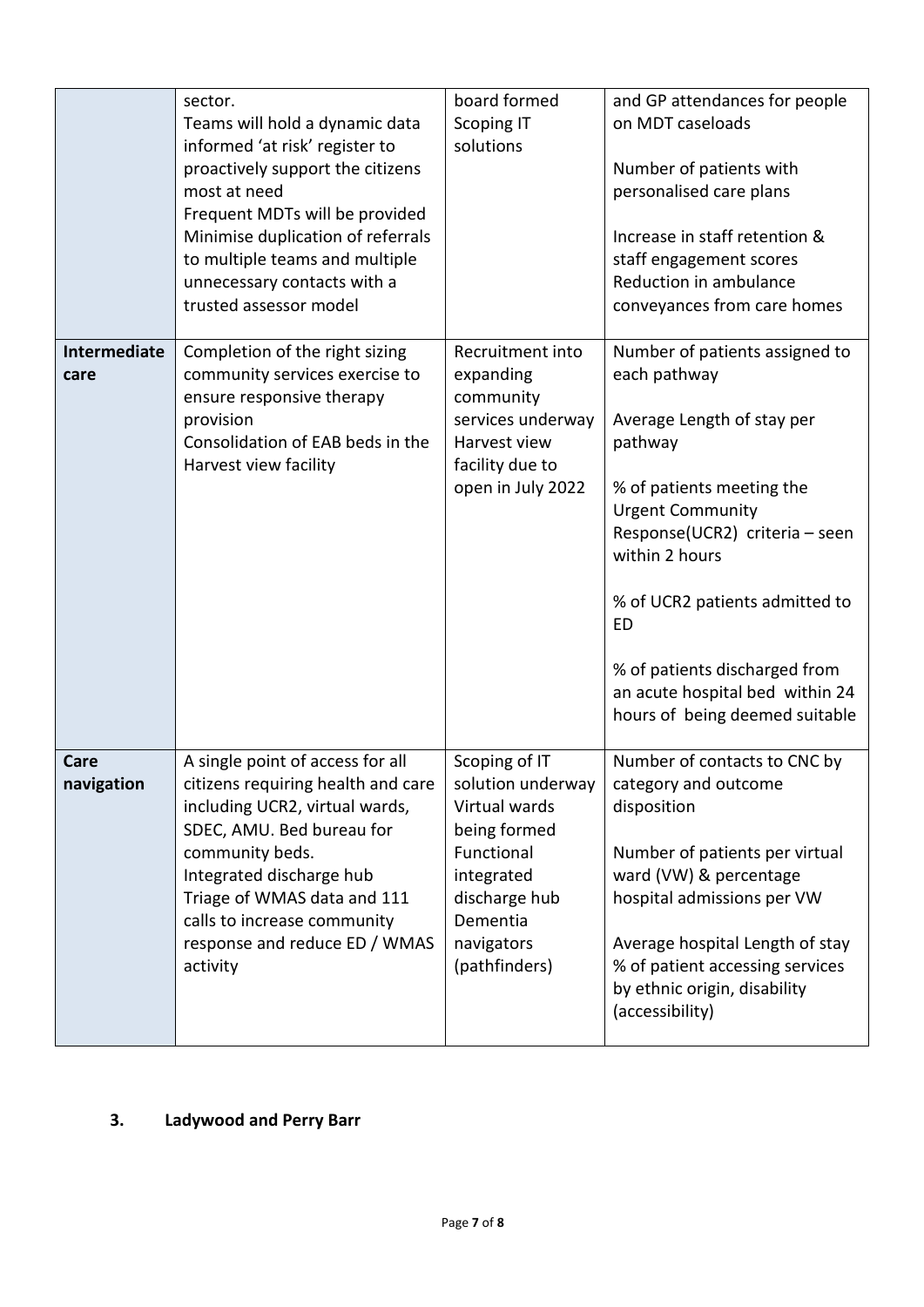|                      | sector.<br>Teams will hold a dynamic data<br>informed 'at risk' register to<br>proactively support the citizens<br>most at need<br>Frequent MDTs will be provided<br>Minimise duplication of referrals<br>to multiple teams and multiple<br>unnecessary contacts with a<br>trusted assessor model | board formed<br><b>Scoping IT</b><br>solutions                                                                                                              | and GP attendances for people<br>on MDT caseloads<br>Number of patients with<br>personalised care plans<br>Increase in staff retention &<br>staff engagement scores<br>Reduction in ambulance<br>conveyances from care homes                                                                                                                      |
|----------------------|---------------------------------------------------------------------------------------------------------------------------------------------------------------------------------------------------------------------------------------------------------------------------------------------------|-------------------------------------------------------------------------------------------------------------------------------------------------------------|---------------------------------------------------------------------------------------------------------------------------------------------------------------------------------------------------------------------------------------------------------------------------------------------------------------------------------------------------|
| Intermediate<br>care | Completion of the right sizing<br>community services exercise to<br>ensure responsive therapy<br>provision<br>Consolidation of EAB beds in the<br>Harvest view facility                                                                                                                           | Recruitment into<br>expanding<br>community<br>services underway<br>Harvest view<br>facility due to<br>open in July 2022                                     | Number of patients assigned to<br>each pathway<br>Average Length of stay per<br>pathway<br>% of patients meeting the<br><b>Urgent Community</b><br>Response(UCR2) criteria - seen<br>within 2 hours<br>% of UCR2 patients admitted to<br>ED<br>% of patients discharged from<br>an acute hospital bed within 24<br>hours of being deemed suitable |
| Care<br>navigation   | A single point of access for all<br>citizens requiring health and care<br>including UCR2, virtual wards,<br>SDEC, AMU. Bed bureau for<br>community beds.<br>Integrated discharge hub<br>Triage of WMAS data and 111<br>calls to increase community<br>response and reduce ED / WMAS<br>activity   | Scoping of IT<br>solution underway<br>Virtual wards<br>being formed<br>Functional<br>integrated<br>discharge hub<br>Dementia<br>navigators<br>(pathfinders) | Number of contacts to CNC by<br>category and outcome<br>disposition<br>Number of patients per virtual<br>ward (VW) & percentage<br>hospital admissions per VW<br>Average hospital Length of stay<br>% of patient accessing services<br>by ethnic origin, disability<br>(accessibility)                                                            |

**3. Ladywood and Perry Barr**